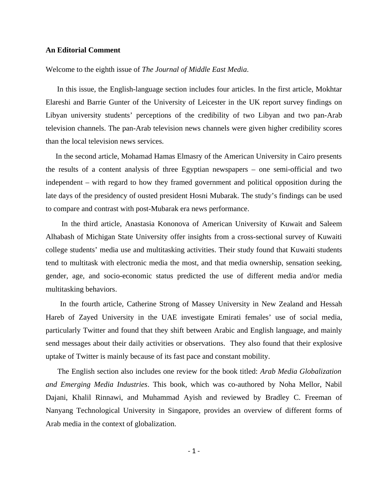## **An Editorial Comment**

Welcome to the eighth issue of *The Journal of Middle East Media*.

 In this issue, the English-language section includes four articles. In the first article, Mokhtar Elareshi and Barrie Gunter of the University of Leicester in the UK report survey findings on Libyan university students' perceptions of the credibility of two Libyan and two pan-Arab television channels. The pan-Arab television news channels were given higher credibility scores than the local television news services.

 In the second article, Mohamad Hamas Elmasry of the American University in Cairo presents the results of a content analysis of three Egyptian newspapers – one semi-official and two independent – with regard to how they framed government and political opposition during the late days of the presidency of ousted president Hosni Mubarak. The study's findings can be used to compare and contrast with post-Mubarak era news performance.

 In the third article, Anastasia Kononova of American University of Kuwait and Saleem Alhabash of Michigan State University offer insights from a cross-sectional survey of Kuwaiti college students' media use and multitasking activities. Their study found that Kuwaiti students tend to multitask with electronic media the most, and that media ownership, sensation seeking, gender, age, and socio-economic status predicted the use of different media and/or media multitasking behaviors.

 In the fourth article, Catherine Strong of Massey University in New Zealand and Hessah Hareb of Zayed University in the UAE investigate Emirati females' use of social media, particularly Twitter and found that they shift between Arabic and English language, and mainly send messages about their daily activities or observations. They also found that their explosive uptake of Twitter is mainly because of its fast pace and constant mobility.

 The English section also includes one review for the book titled: *Arab Media Globalization and Emerging Media Industries*. This book, which was co-authored by Noha Mellor, Nabil Dajani, Khalil Rinnawi, and Muhammad Ayish and reviewed by Bradley C. Freeman of Nanyang Technological University in Singapore, provides an overview of different forms of Arab media in the context of globalization.